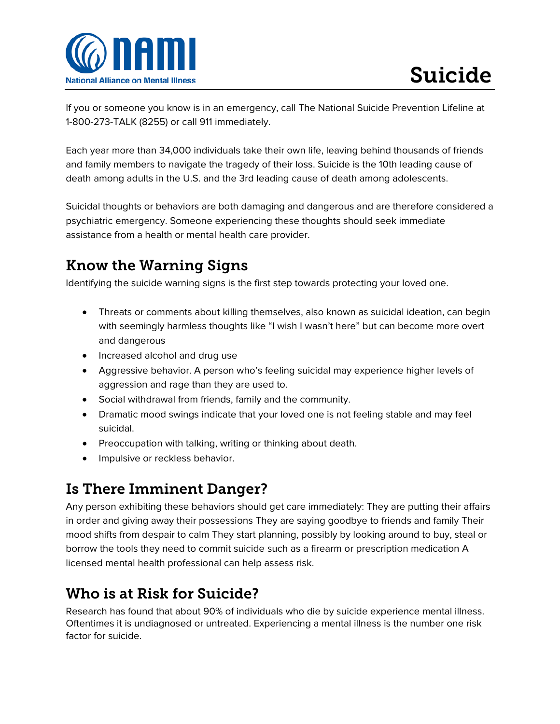

If you or someone you know is in an emergency, call The National Suicide Prevention Lifeline at 1-800-273-TALK (8255) or call 911 immediately.

Each year more than 34,000 individuals take their own life, leaving behind thousands of friends and family members to navigate the tragedy of their loss. Suicide is the 10th leading cause of death among adults in the U.S. and the 3rd leading cause of death among adolescents.

Suicidal thoughts or behaviors are both damaging and dangerous and are therefore considered a psychiatric emergency. Someone experiencing these thoughts should seek immediate assistance from a health or mental health care provider.

## Know the Warning Signs

Identifying the suicide warning signs is the first step towards protecting your loved one.

- Threats or comments about killing themselves, also known as suicidal ideation, can begin with seemingly harmless thoughts like "I wish I wasn't here" but can become more overt and dangerous
- Increased alcohol and drug use
- Aggressive behavior. A person who's feeling suicidal may experience higher levels of aggression and rage than they are used to.
- Social withdrawal from friends, family and the community.
- Dramatic mood swings indicate that your loved one is not feeling stable and may feel suicidal.
- Preoccupation with talking, writing or thinking about death.
- Impulsive or reckless behavior.

## Is There Imminent Danger?

Any person exhibiting these behaviors should get care immediately: They are putting their affairs in order and giving away their possessions They are saying goodbye to friends and family Their mood shifts from despair to calm They start planning, possibly by looking around to buy, steal or borrow the tools they need to commit suicide such as a firearm or prescription medication A licensed mental health professional can help assess risk.

## Who is at Risk for Suicide?

Research has found that about 90% of individuals who die by suicide experience mental illness. Oftentimes it is undiagnosed or untreated. Experiencing a mental illness is the number one risk factor for suicide.